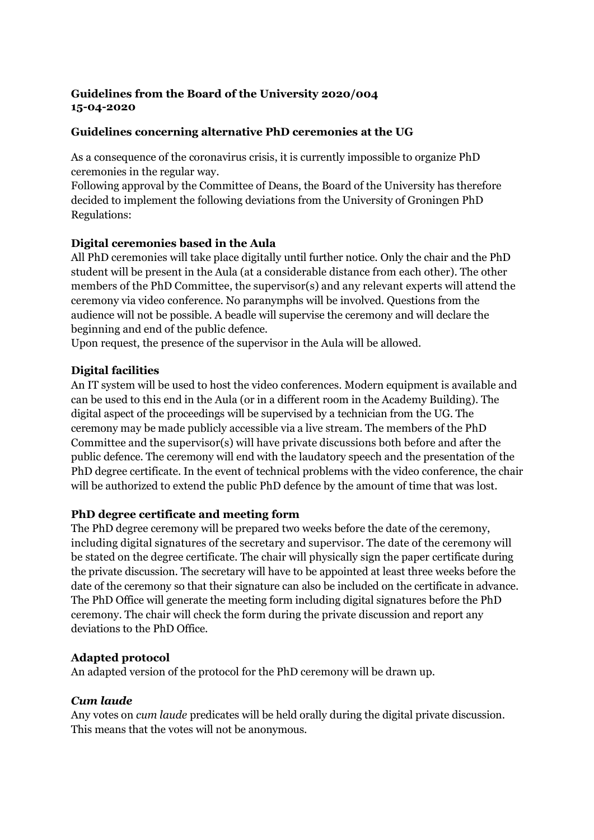## **Guidelines from the Board of the University 2020/004 15-04-2020**

## **Guidelines concerning alternative PhD ceremonies at the UG**

As a consequence of the coronavirus crisis, it is currently impossible to organize PhD ceremonies in the regular way.

Following approval by the Committee of Deans, the Board of the University has therefore decided to implement the following deviations from the University of Groningen PhD Regulations:

# **Digital ceremonies based in the Aula**

All PhD ceremonies will take place digitally until further notice. Only the chair and the PhD student will be present in the Aula (at a considerable distance from each other). The other members of the PhD Committee, the supervisor(s) and any relevant experts will attend the ceremony via video conference. No paranymphs will be involved. Questions from the audience will not be possible. A beadle will supervise the ceremony and will declare the beginning and end of the public defence.

Upon request, the presence of the supervisor in the Aula will be allowed.

# **Digital facilities**

An IT system will be used to host the video conferences. Modern equipment is available and can be used to this end in the Aula (or in a different room in the Academy Building). The digital aspect of the proceedings will be supervised by a technician from the UG. The ceremony may be made publicly accessible via a live stream. The members of the PhD Committee and the supervisor(s) will have private discussions both before and after the public defence. The ceremony will end with the laudatory speech and the presentation of the PhD degree certificate. In the event of technical problems with the video conference, the chair will be authorized to extend the public PhD defence by the amount of time that was lost.

## **PhD degree certificate and meeting form**

The PhD degree ceremony will be prepared two weeks before the date of the ceremony, including digital signatures of the secretary and supervisor. The date of the ceremony will be stated on the degree certificate. The chair will physically sign the paper certificate during the private discussion. The secretary will have to be appointed at least three weeks before the date of the ceremony so that their signature can also be included on the certificate in advance. The PhD Office will generate the meeting form including digital signatures before the PhD ceremony. The chair will check the form during the private discussion and report any deviations to the PhD Office.

## **Adapted protocol**

An adapted version of the protocol for the PhD ceremony will be drawn up.

## *Cum laude*

Any votes on *cum laude* predicates will be held orally during the digital private discussion. This means that the votes will not be anonymous.